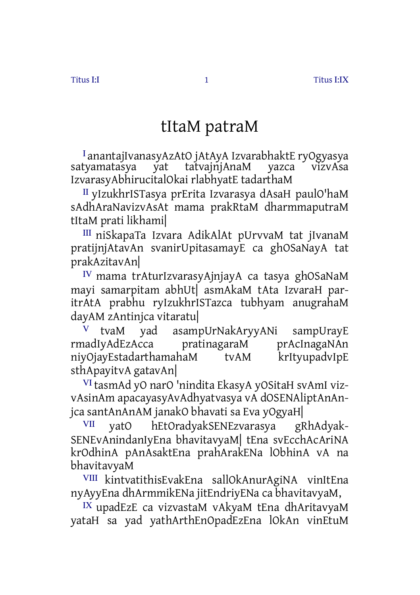## tItaM patraM

<sup>Ⅰ</sup> anantajIvanasyAzAtO jAtAyA IzvarabhaktE ryOgyasya tatvainiAnaM IzvarasyAbhirucitalOkai rlabhyatE tadarthaM

<sup>Ⅱ</sup> yIzukhrISTasya prErita Izvarasya dAsaH paulO'haM sAdhAraNavizvAsAt mama prakRtaM dharmmaputraM tItaM prati likhami|

<sup>Ⅲ</sup> niSkapaTa Izvara AdikAlAt pUrvvaM tat jIvanaM pratijnjAtavAn svanirUpitasamayE ca ghOSaNayA tat prakAzitavAn|

<sup>Ⅳ</sup> mama trAturIzvarasyAjnjayA ca tasya ghOSaNaM mayi samarpitam abhUt| asmAkaM tAta IzvaraH paritrAtA prabhu ryIzukhrISTazca tubhyam anugrahaM dayAM zAntinjca vitaratu|

<sup>Ⅴ</sup> tvaM yad asampUrNakAryyANi sampUrayE rmadIyAdEzAcca pratinagaraM prAcInagaNAn niyOjayEstadarthamahaM tvAM krItyupadvIpE sthApayitvA gatavAn|

<sup>Ⅵ</sup> tasmAd yO narO 'nindita EkasyA yOSitaH svAmI vizvAsinAm apacayasyAvAdhyatvasya vA dOSENAliptAnAnjca santAnAnAM janakO bhavati sa Eva yOgyaH|

<sup>Ⅶ</sup> yatO hEtOradyakSENEzvarasya gRhAdyak-SENEvAnindanIyEna bhavitavyaM| tEna svEcchAcAriNA krOdhinA pAnAsaktEna prahArakENa lObhinA vA na bhavitavyaM

<sup>Ⅷ</sup> kintvatithisEvakEna sallOkAnurAgiNA vinItEna nyAyyEna dhArmmikENa jitEndriyENa ca bhavitavyaM,

<sup>Ⅸ</sup> upadEzE ca vizvastaM vAkyaM tEna dhAritavyaM yataH sa yad yathArthEnOpadEzEna lOkAn vinEtuM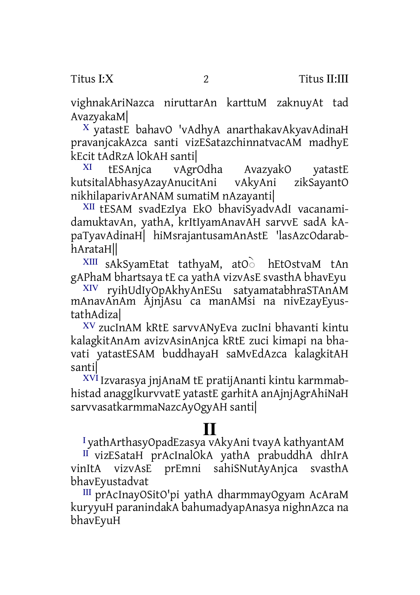vighnakAriNazca niruttarAn karttuM zaknuyAt tad AvazyakaM|

<sup>Ⅹ</sup> yatastE bahavO 'vAdhyA anarthakavAkyavAdinaH pravanjcakAzca santi vizESatazchinnatvacAM madhyE kEcit tAdRzA lOkAH santi|

<sup>XI</sup> tESAnjca vAgrOdha AvazyakO yatastE<br>tsitalAbhasvAzavAnucitAni vAkyAni zikSayantO kutsitalAbhasyAzayAnucitAni vAkyAni nikhilaparivArANAM sumatiM nAzayanti|

<sup>Ⅻ</sup> tESAM svadEzIya EkO bhaviSyadvAdI vacanamidamuktavAn, yathA, krItIyamAnavAH sarvvE sadA kApaTyavAdinaH| hiMsrajantusamAnAstE 'lasAzcOdarabhArataH||

XIII sAkSyamEtat tathyaM, atO<sup>`</sup> hEtOstvaM tAn gAPhaM bhartsaya tE ca yathA vizvAsE svasthA bhavEyu

ryihUdIyOpAkhyAnESu satyamatabhraSTAnAM mAnavAnAm AjnjAsu ca manAMsi na nivEzayEyustathAdiza|

ⅩⅤ zucInAM kRtE sarvvANyEva zucIni bhavanti kintu kalagkitAnAm avizvAsinAnjca kRtE zuci kimapi na bhavati yatastESAM buddhayaH saMvEdAzca kalagkitAH santi|

ⅩⅥ Izvarasya jnjAnaM tE pratijAnanti kintu karmmabhistad anaggIkurvvatE yatastE garhitA anAjnjAgrAhiNaH sarvvasatkarmmaNazcAyOgyAH santi|

## **Ⅱ**

<sup>Ⅰ</sup> yathArthasyOpadEzasya vAkyAni tvayA kathyantAM

<sup>Ⅱ</sup> vizESataH prAcInalOkA yathA prabuddhA dhIrA vinItA vizvAsE prEmni sahiSNutAyAnjca svasthA bhavEyustadvat

<sup>Ⅲ</sup> prAcInayOSitO'pi yathA dharmmayOgyam AcAraM kuryyuH paranindakA bahumadyapAnasya nighnAzca na bhavEyuH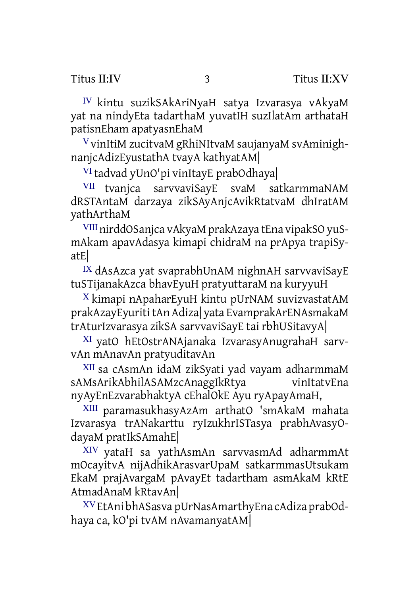<sup>Ⅳ</sup> kintu suzikSAkAriNyaH satya Izvarasya vAkyaM yat na nindyEta tadarthaM yuvatIH suzIlatAm arthataH patisnEham apatyasnEhaM

<sup>Ⅴ</sup> vinItiM zucitvaM gRhiNItvaM saujanyaM svAminighnanjcAdizEyustathA tvayA kathyatAM|

<sup>Ⅵ</sup> tadvad yUnO'pi vinItayE prabOdhaya|

<sup>Ⅶ</sup> tvanjca sarvvaviSayE svaM satkarmmaNAM dRSTAntaM darzaya zikSAyAnjcAvikRtatvaM dhIratAM yathArthaM

<sup>Ⅷ</sup>nirddOSanjca vAkyaM prakAzaya tEna vipakSO yuSmAkam apavAdasya kimapi chidraM na prApya trapiSyatE|

<sup>Ⅸ</sup> dAsAzca yat svaprabhUnAM nighnAH sarvvaviSayE tuSTijanakAzca bhavEyuH pratyuttaraM na kuryyuH

<sup>Ⅹ</sup> kimapi nApaharEyuH kintu pUrNAM suvizvastatAM prakAzayEyurititAn Adiza| yata EvamprakArENAsmakaM trAturIzvarasya zikSA sarvvaviSayE tai rbhUSitavyA|

<sup>Ⅺ</sup> yatO hEtOstrANAjanaka IzvarasyAnugrahaH sarvvAn mAnavAn pratyuditavAn

<sup>Ⅻ</sup> sa cAsmAn idaM zikSyati yad vayam adharmmaM sAMsArikAbhilASAMzcAnaggIkRtya vinItatvEna nyAyEnEzvarabhaktyA cEhalOkE Ayu ryApayAmaH,

ⅩⅢ paramasukhasyAzAm arthatO 'smAkaM mahata Izvarasya trANakarttu ryIzukhrISTasya prabhAvasyOdayaM pratIkSAmahE|

ⅩⅣ yataH sa yathAsmAn sarvvasmAd adharmmAt mOcayitvA nijAdhikArasvarUpaM satkarmmasUtsukam EkaM prajAvargaM pAvayEt tadartham asmAkaM kRtE AtmadAnaM kRtavAn|

ⅩⅤ EtAni bhASasva pUrNasAmarthyEna cAdiza prabOdhaya ca, kO'pi tvAM nAvamanyatAM|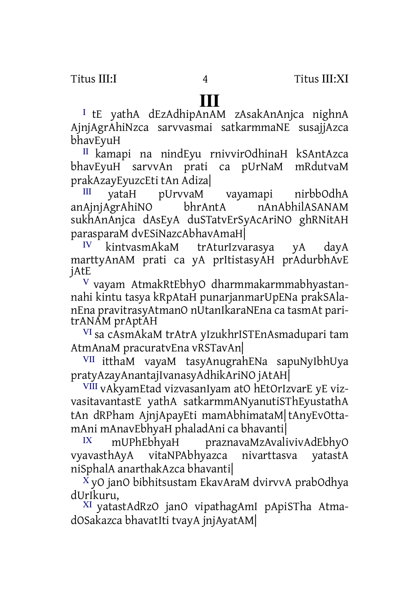Ⅰ tE yathA dEzAdhipAnAM zAsakAnAnjca nighnA AjnjAgrAhiNzca sarvvasmai satkarmmaNE susajjAzca bhavEyuH

<sup>Ⅱ</sup> kamapi na nindEyu rnivvirOdhinaH kSAntAzca bhavEyuH sarvvAn prati ca pUrNaM mRdutvaM prakAzayEyuzcEti tAn Adiza|

III yataH pUrvvaM vayamapi nirbbOdhA<br>AiniAgrAhiNO bhrAntA nAnAbhilASANAM anAjnjAgrAhiNO sukhAnAnjca dAsEyA duSTatvErSyAcAriNO ghRNitAH parasparaM dvESiNazcAbhavAmaH|

<sup>Ⅳ</sup> kintvasmAkaM trAturIzvarasya yA dayA marttyAnAM prati ca yA prItistasyAH prAdurbhAvE jAtE

<sup>Ⅴ</sup> vayam AtmakRtEbhyO dharmmakarmmabhyastannahi kintu tasya kRpAtaH punarjanmarUpENa prakSAlanEna pravitrasyAtmanO nUtanIkaraNEna ca tasmAt paritrANAM prAptAH

<sup>Ⅵ</sup> sa cAsmAkaM trAtrA yIzukhrISTEnAsmadupari tam AtmAnaM pracuratvEna vRSTavAn|

<sup>Ⅶ</sup> itthaM vayaM tasyAnugrahENa sapuNyIbhUya pratyAzayAnantajIvanasyAdhikAriNO jAtAH|

VIII vAkyamEtad vizvasanIyam atO hEtOrIzvarE yE vizvasitavantastE yathA satkarmmANyanutiSThEyustathA tAn dRPham AjnjApayEti mamAbhimataM|tAnyEvOttamAni mAnavEbhyaH phaladAni ca bhavanti|

mUPhEbhyaH praznavaMzAvalivivAdEbhyO vyavasthAyA vitaNPAbhyazca nivarttasva yatastA niSphalA anarthakAzca bhavanti|

<sup>Ⅹ</sup> yO janO bibhitsustam EkavAraM dvirvvA prabOdhya dUrIkuru,

<sup>Ⅺ</sup> yatastAdRzO janO vipathagAmI pApiSTha AtmadOSakazca bhavatIti tvayA jnjAyatAM|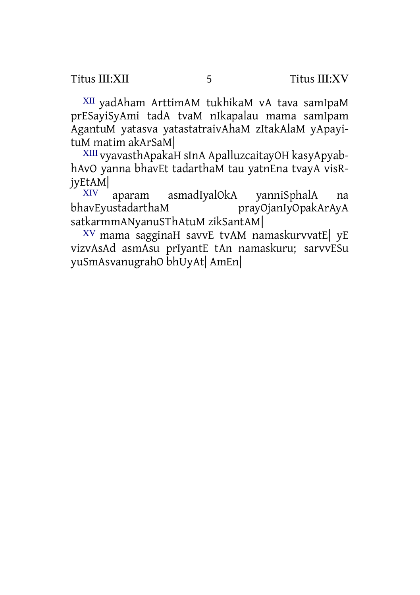<sup>Ⅻ</sup> yadAham ArttimAM tukhikaM vA tava samIpaM prESayiSyAmi tadA tvaM nIkapalau mama samIpam AgantuM yatasva yatastatraivAhaM zItakAlaM yApayituM matim akArSaM|

ⅩⅢ vyavasthApakaH sInA ApalluzcaitayOH kasyApyabhAvO yanna bhavEt tadarthaM tau yatnEna tvayA visRjyEtAM|

aparam asmadIyalOkA yanniSphalA na bhavEyustadarthaM prayOjanIyOpakArAyA satkarmmANyanuSThAtuM zikSantAM|

ⅩⅤ mama sagginaH savvE tvAM namaskurvvatE| yE vizvAsAd asmAsu prIyantE tAn namaskuru; sarvvESu yuSmAsvanugrahO bhUyAt| AmEn|